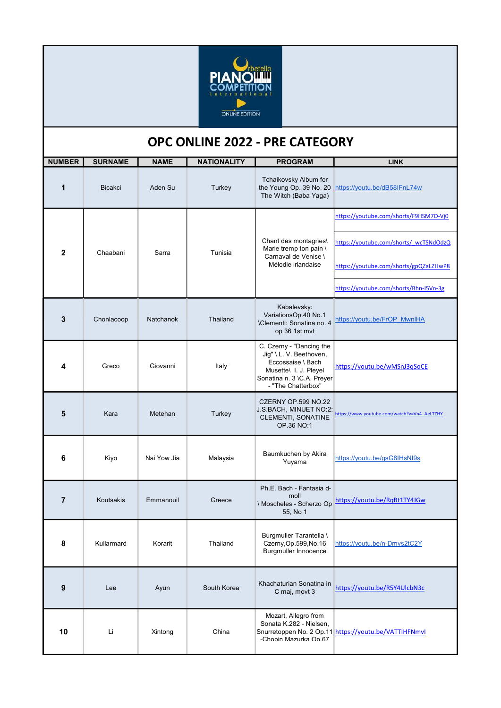

## OPC ONLINE 2022 - PRE CATEGORY

| <b>NUMBER</b>  | <b>SURNAME</b> | <b>NAME</b> | <b>NATIONALITY</b> | <b>PROGRAM</b>                                                                                                                                        | <b>LINK</b>                                           |
|----------------|----------------|-------------|--------------------|-------------------------------------------------------------------------------------------------------------------------------------------------------|-------------------------------------------------------|
| 1              | <b>Bicakci</b> | Aden Su     | Turkey             | Tchaikovsky Album for<br>the Young Op. 39 No. 20<br>The Witch (Baba Yaga)                                                                             | https://youtu.be/dB58IFnL74w                          |
| $\mathbf{2}$   | Chaabani       | Sarra       | Tunisia            | Chant des montagnes<br>Marie tremp ton pain \<br>Carnaval de Venise \<br>Mélodie irlandaise                                                           | https://youtube.com/shorts/F9HSM7O-Vj0                |
|                |                |             |                    |                                                                                                                                                       | https://youtube.com/shorts/ wcTSNdOdzQ                |
|                |                |             |                    |                                                                                                                                                       | https://youtube.com/shorts/gpQZaLZHwP8                |
|                |                |             |                    |                                                                                                                                                       | https://youtube.com/shorts/Bhn-I5Vn-3g                |
| 3              | Chonlacoop     | Natchanok   | Thailand           | Kabalevsky:<br>VariationsOp.40 No.1<br><b>\Clementi: Sonatina no. 4</b><br>op 36 1st mvt                                                              | https://youtu.be/FrOP MwnlHA                          |
| 4              | Greco          | Giovanni    | Italy              | C. Czerny - "Dancing the<br>Jig" \ L. V. Beethoven,<br>Eccossaise \ Bach<br>Musette\ I. J. Pleyel<br>Sonatina n. 3 \C.A. Preyer<br>- "The Chatterbox" | https://youtu.be/wMSnJ3qSoCE                          |
| 5              | Kara           | Metehan     | Turkey             | CZERNY OP.599 NO.22<br>J.S.BACH, MINUET NO:2:<br>CLEMENTI, SONATINE<br>OP.36 NO:1                                                                     | https://www.youtube.com/watch?v=Vn4_AeLTZHY           |
| 6              | Kiyo           | Nai Yow Jia | Malaysia           | Baumkuchen by Akira<br>Yuyama                                                                                                                         | https://youtu.be/gsG8IHsNI9s                          |
| $\overline{7}$ | Koutsakis      | Emmanouil   | Greece             | Ph.E. Bach - Fantasia d-<br>moll<br>\ Moscheles - Scherzo Op<br>55, No 1                                                                              | https://youtu.be/RqBt1TY4JGw                          |
| 8              | Kullarmard     | Korarit     | Thailand           | Burgmuller Tarantella \<br>Czerny, Op. 599, No. 16<br><b>Burgmuller Innocence</b>                                                                     | https://youtu.be/n-Dmvs2tC2Y                          |
| 9              | Lee            | Ayun        | South Korea        | Khachaturian Sonatina in<br>C maj, movt 3                                                                                                             | https://youtu.be/R5Y4UlcbN3c                          |
| 10             | Li             | Xintong     | China              | Mozart, Allegro from<br>Sonata K.282 - Nielsen,<br>-Chonin Mazurka On 67                                                                              | Snurretoppen No. 2 Op.11 https://youtu.be/VATTIHFNmvl |